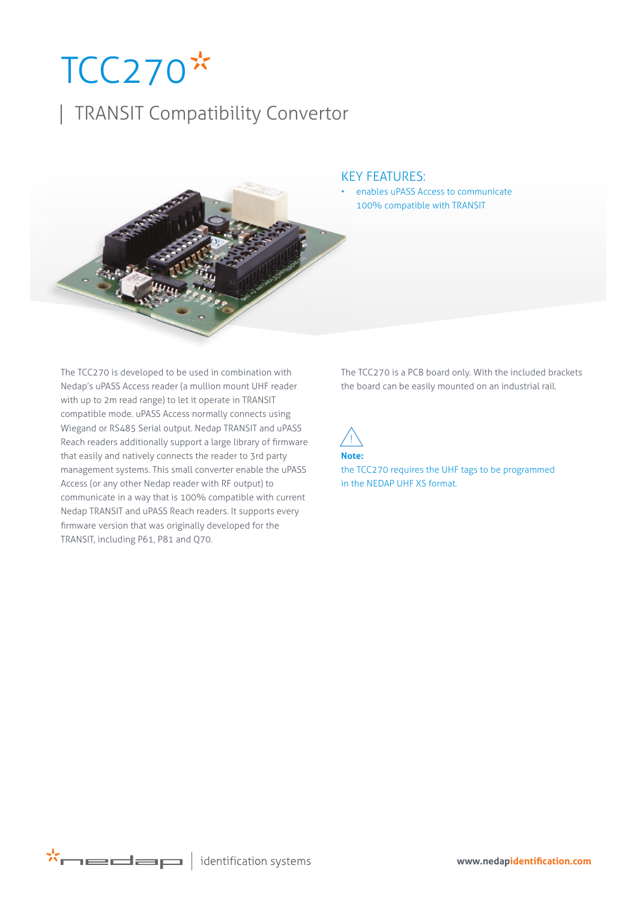## $TCC270*$

## | TRANSIT Compatibility Convertor



## KEY FEATURES:

enables uPASS Access to communicate 100% compatible with TRANSIT

The TCC270 is developed to be used in combination with Nedap's uPASS Access reader (a mullion mount UHF reader with up to 2m read range) to let it operate in TRANSIT compatible mode. uPASS Access normally connects using Wiegand or RS485 Serial output. Nedap TRANSIT and uPASS Reach readers additionally support a large library of firmware that easily and natively connects the reader to 3rd party management systems. This small converter enable the uPASS Access (or any other Nedap reader with RF output) to communicate in a way that is 100% compatible with current Nedap TRANSIT and uPASS Reach readers. It supports every firmware version that was originally developed for the TRANSIT, including P61, P81 and Q70.

The TCC270 is a PCB board only. With the included brackets the board can be easily mounted on an industrial rail.



the TCC270 requires the UHF tags to be programmed in the NEDAP UHF XS format.